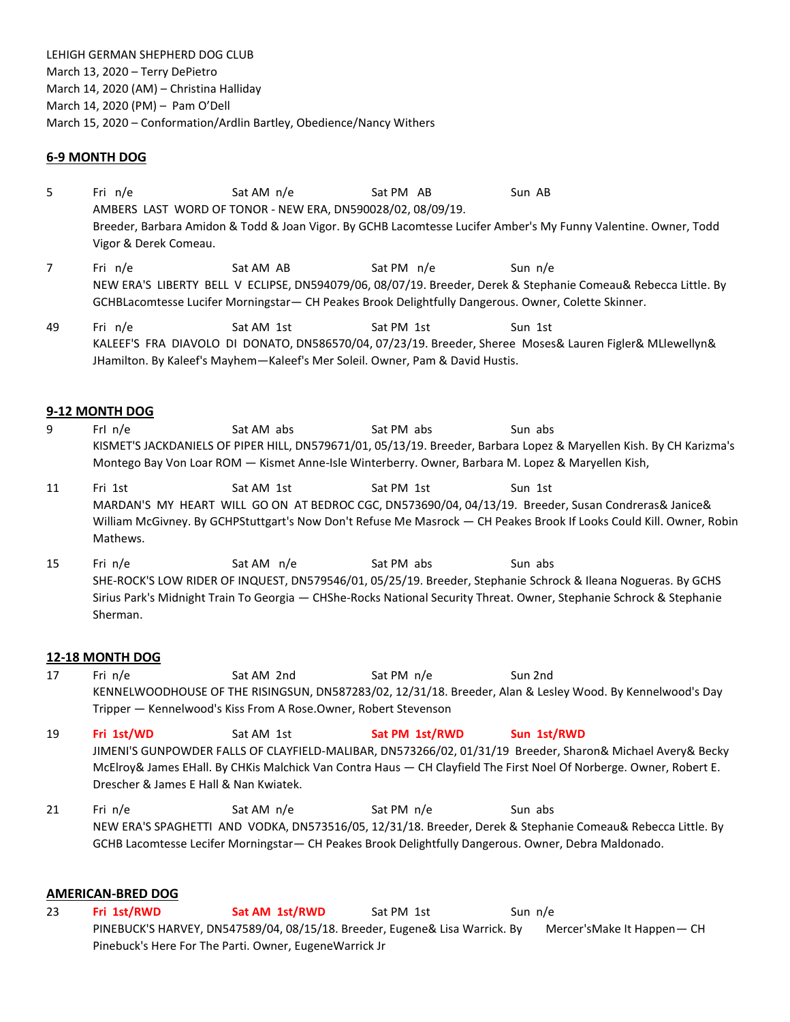LEHIGH GERMAN SHEPHERD DOG CLUB March 13, 2020 – Terry DePietro March 14, 2020 (AM) – Christina Halliday March 14, 2020 (PM) – Pam O'Dell March 15, 2020 – Conformation/Ardlin Bartley, Obedience/Nancy Withers

## **6-9 MONTH DOG**

5 Fri n/e Sat AM n/e Sat PM AB Sun AB AMBERS LAST WORD OF TONOR - NEW ERA, DN590028/02, 08/09/19. Breeder, Barbara Amidon & Todd & Joan Vigor. By GCHB Lacomtesse Lucifer Amber's My Funny Valentine. Owner, Todd Vigor & Derek Comeau.

7 Fri n/e Sat AM AB Sat PM n/e Sun n/e NEW ERA'S LIBERTY BELL V ECLIPSE, DN594079/06, 08/07/19. Breeder, Derek & Stephanie Comeau& Rebecca Little. By GCHBLacomtesse Lucifer Morningstar— CH Peakes Brook Delightfully Dangerous. Owner, Colette Skinner.

49 Fri n/e Sat AM 1st Sat PM 1st Sun 1st KALEEF'S FRA DIAVOLO DI DONATO, DN586570/04, 07/23/19. Breeder, Sheree Moses& Lauren Figler& MLlewellyn& JHamilton. By Kaleef's Mayhem—Kaleef's Mer Soleil. Owner, Pam & David Hustis.

#### **9-12 MONTH DOG**

- 9 FrI n/e Sat AM abs Sat PM abs Sun abs KISMET'S JACKDANIELS OF PIPER HILL, DN579671/01, 05/13/19. Breeder, Barbara Lopez & Maryellen Kish. By CH Karizma's Montego Bay Von Loar ROM — Kismet Anne-Isle Winterberry. Owner, Barbara M. Lopez & Maryellen Kish,
- 11 Fri 1st Sat AM 1st Sat PM 1st Sun 1st MARDAN'S MY HEART WILL GO ON AT BEDROC CGC, DN573690/04, 04/13/19. Breeder, Susan Condreras& Janice& William McGivney. By GCHPStuttgart's Now Don't Refuse Me Masrock — CH Peakes Brook If Looks Could Kill. Owner, Robin Mathews.
- 15 Fri n/e Sat AM n/e Sat PM abs Sun abs SHE-ROCK'S LOW RIDER OF INQUEST, DN579546/01, 05/25/19. Breeder, Stephanie Schrock & Ileana Nogueras. By GCHS Sirius Park's Midnight Train To Georgia — CHShe-Rocks National Security Threat. Owner, Stephanie Schrock & Stephanie Sherman.

#### **12-18 MONTH DOG**

17 Fri n/e Sat AM 2nd Sat PM n/e Sun 2nd KENNELWOODHOUSE OF THE RISINGSUN, DN587283/02, 12/31/18. Breeder, Alan & Lesley Wood. By Kennelwood's Day Tripper — Kennelwood's Kiss From A Rose.Owner, Robert Stevenson

19 **Fri 1st/WD** Sat AM 1st **Sat PM 1st/RWD Sun 1st/RWD** JIMENI'S GUNPOWDER FALLS OF CLAYFIELD-MALIBAR, DN573266/02, 01/31/19 Breeder, Sharon& Michael Avery& Becky McElroy& James EHall. By CHKis Malchick Van Contra Haus — CH Clayfield The First Noel Of Norberge. Owner, Robert E. Drescher & James E Hall & Nan Kwiatek.

21 Fri n/e Sat AM n/e Sat PM n/e Sun abs NEW ERA'S SPAGHETTI AND VODKA, DN573516/05, 12/31/18. Breeder, Derek & Stephanie Comeau& Rebecca Little. By GCHB Lacomtesse Lecifer Morningstar— CH Peakes Brook Delightfully Dangerous. Owner, Debra Maldonado.

#### **AMERICAN-BRED DOG**

23 **Fri 1st/RWD Sat AM 1st/RWD** Sat PM 1st Sun n/e PINEBUCK'S HARVEY, DN547589/04, 08/15/18. Breeder, Eugene& Lisa Warrick. By Mercer'sMake It Happen-CH Pinebuck's Here For The Parti. Owner, EugeneWarrick Jr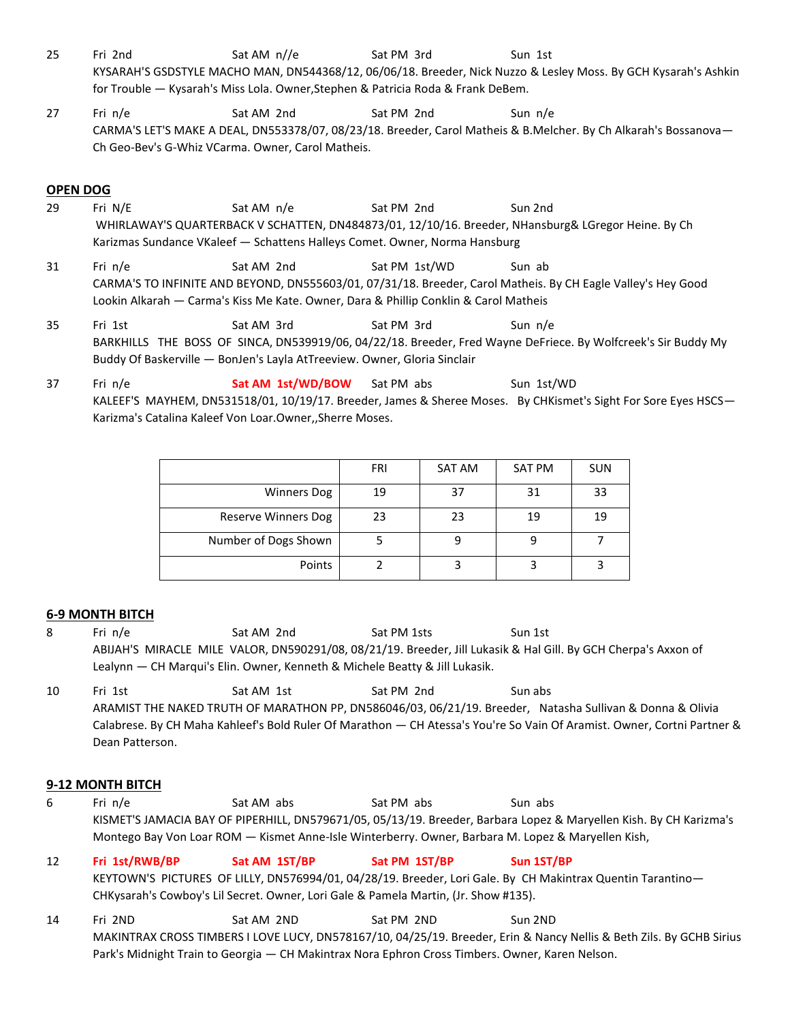- 25 Fri 2nd Sat AM n//e Sat PM 3rd Sun 1st KYSARAH'S GSDSTYLE MACHO MAN, DN544368/12, 06/06/18. Breeder, Nick Nuzzo & Lesley Moss. By GCH Kysarah's Ashkin for Trouble — Kysarah's Miss Lola. Owner,Stephen & Patricia Roda & Frank DeBem.
- 27 Fri n/e Sat AM 2nd Sat PM 2nd Sun n/e CARMA'S LET'S MAKE A DEAL, DN553378/07, 08/23/18. Breeder, Carol Matheis & B.Melcher. By Ch Alkarah's Bossanova— Ch Geo-Bev's G-Whiz VCarma. Owner, Carol Matheis.

## **OPEN DOG**

- 29 Fri N/E Sat AM n/e Sat PM 2nd Sun 2nd WHIRLAWAY'S QUARTERBACK V SCHATTEN, DN484873/01, 12/10/16. Breeder, NHansburg& LGregor Heine. By Ch Karizmas Sundance VKaleef — Schattens Halleys Comet. Owner, Norma Hansburg
- 31 Fri n/e Sat AM 2nd Sat PM 1st/WD Sun ab CARMA'S TO INFINITE AND BEYOND, DN555603/01, 07/31/18. Breeder, Carol Matheis. By CH Eagle Valley's Hey Good Lookin Alkarah — Carma's Kiss Me Kate. Owner, Dara & Phillip Conklin & Carol Matheis
- 35 Fri 1st Sat AM 3rd Sat PM 3rd Sun n/e BARKHILLS THE BOSS OF SINCA, DN539919/06, 04/22/18. Breeder, Fred Wayne DeFriece. By Wolfcreek's Sir Buddy My Buddy Of Baskerville — BonJen's Layla AtTreeview. Owner, Gloria Sinclair
- 37 Fri n/e **Sat AM 1st/WD/BOW** Sat PM abs Sun 1st/WD KALEEF'S MAYHEM, DN531518/01, 10/19/17. Breeder, James & Sheree Moses. By CHKismet's Sight For Sore Eyes HSCS— Karizma's Catalina Kaleef Von Loar.Owner,,Sherre Moses.

|                      | FRI | SAT AM | <b>SAT PM</b> | <b>SUN</b> |
|----------------------|-----|--------|---------------|------------|
| <b>Winners Dog</b>   | 19  | 37     | 31            | 33         |
| Reserve Winners Dog  | 23  | 23     | 19            | 19         |
| Number of Dogs Shown |     |        |               |            |
| Points               |     |        |               |            |

## **6-9 MONTH BITCH**

- 8 Fri n/e Sat AM 2nd Sat PM 1sts Sun 1st ABIJAH'S MIRACLE MILE VALOR, DN590291/08, 08/21/19. Breeder, Jill Lukasik & Hal Gill. By GCH Cherpa's Axxon of Lealynn — CH Marqui's Elin. Owner, Kenneth & Michele Beatty & Jill Lukasik.
- 10 Fri 1st Sat AM 1st Sat PM 2nd Sun abs ARAMIST THE NAKED TRUTH OF MARATHON PP, DN586046/03, 06/21/19. Breeder, Natasha Sullivan & Donna & Olivia Calabrese. By CH Maha Kahleef's Bold Ruler Of Marathon — CH Atessa's You're So Vain Of Aramist. Owner, Cortni Partner & Dean Patterson.

## **9-12 MONTH BITCH**

- 6 Fri n/e Sat AM abs Sat PM abs Sun abs KISMET'S JAMACIA BAY OF PIPERHILL, DN579671/05, 05/13/19. Breeder, Barbara Lopez & Maryellen Kish. By CH Karizma's Montego Bay Von Loar ROM — Kismet Anne-Isle Winterberry. Owner, Barbara M. Lopez & Maryellen Kish,
- 12 **Fri 1st/RWB/BP Sat AM 1ST/BP Sat PM 1ST/BP Sun 1ST/BP**  KEYTOWN'S PICTURES OF LILLY, DN576994/01, 04/28/19. Breeder, Lori Gale. By CH Makintrax Quentin Tarantino— CHKysarah's Cowboy's Lil Secret. Owner, Lori Gale & Pamela Martin, (Jr. Show #135).
- 14 Fri 2ND Sat AM 2ND Sat PM 2ND Sun 2ND MAKINTRAX CROSS TIMBERS I LOVE LUCY, DN578167/10, 04/25/19. Breeder, Erin & Nancy Nellis & Beth Zils. By GCHB Sirius Park's Midnight Train to Georgia — CH Makintrax Nora Ephron Cross Timbers. Owner, Karen Nelson.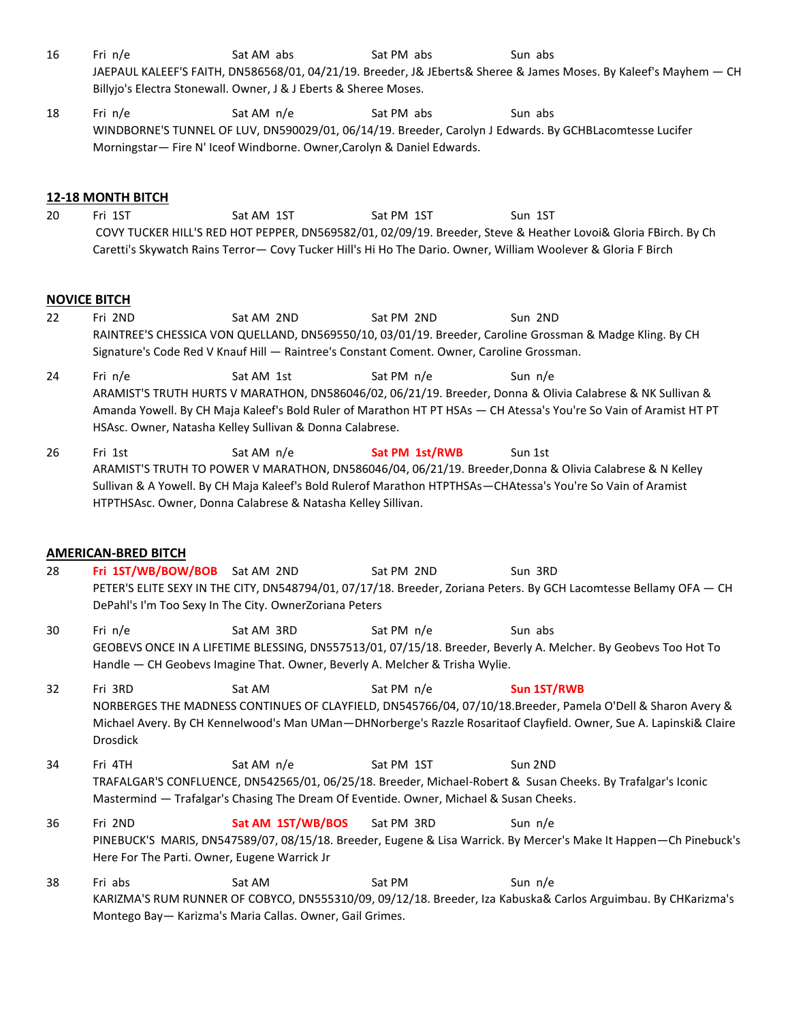- 16 Fri n/e Sat AM abs Sat PM abs Sun abs JAEPAUL KALEEF'S FAITH, DN586568/01, 04/21/19. Breeder, J& JEberts& Sheree & James Moses. By Kaleef's Mayhem — CH Billyjo's Electra Stonewall. Owner, J & J Eberts & Sheree Moses.
- 18 Fri n/e Sat AM n/e Sat PM abs Sun abs Sun abs WINDBORNE'S TUNNEL OF LUV, DN590029/01, 06/14/19. Breeder, Carolyn J Edwards. By GCHBLacomtesse Lucifer Morningstar— Fire N' Iceof Windborne. Owner,Carolyn & Daniel Edwards.

## **12-18 MONTH BITCH**

20 Fri 1ST Sat AM 1ST Sat PM 1ST Sun 1ST COVY TUCKER HILL'S RED HOT PEPPER, DN569582/01, 02/09/19. Breeder, Steve & Heather Lovoi& Gloria FBirch. By Ch Caretti's Skywatch Rains Terror— Covy Tucker Hill's Hi Ho The Dario. Owner, William Woolever & Gloria F Birch

#### **NOVICE BITCH**

- 22 Fri 2ND Sat AM 2ND Sat PM 2ND Sun 2ND RAINTREE'S CHESSICA VON QUELLAND, DN569550/10, 03/01/19. Breeder, Caroline Grossman & Madge Kling. By CH Signature's Code Red V Knauf Hill — Raintree's Constant Coment. Owner, Caroline Grossman.
- 24 Fri n/e Sat AM 1st Sat PM n/e Sun n/e ARAMIST'S TRUTH HURTS V MARATHON, DN586046/02, 06/21/19. Breeder, Donna & Olivia Calabrese & NK Sullivan & Amanda Yowell. By CH Maja Kaleef's Bold Ruler of Marathon HT PT HSAs — CH Atessa's You're So Vain of Aramist HT PT HSAsc. Owner, Natasha Kelley Sullivan & Donna Calabrese.
- 26 Fri 1st **Sat AM n/e Sat PM 1st/RWB** Sun 1st ARAMIST'S TRUTH TO POWER V MARATHON, DN586046/04, 06/21/19. Breeder,Donna & Olivia Calabrese & N Kelley Sullivan & A Yowell. By CH Maja Kaleef's Bold Rulerof Marathon HTPTHSAs—CHAtessa's You're So Vain of Aramist HTPTHSAsc. Owner, Donna Calabrese & Natasha Kelley Sillivan.

#### **AMERICAN-BRED BITCH**

- 28 **Fri 1ST/WB/BOW/BOB** Sat AM 2ND Sat PM 2ND Sun 3RD PETER'S ELITE SEXY IN THE CITY, DN548794/01, 07/17/18. Breeder, Zoriana Peters. By GCH Lacomtesse Bellamy OFA — CH DePahl's I'm Too Sexy In The City. OwnerZoriana Peters
- 30 Fri n/e Sat AM 3RD Sat PM n/e Sun abs GEOBEVS ONCE IN A LIFETIME BLESSING, DN557513/01, 07/15/18. Breeder, Beverly A. Melcher. By Geobevs Too Hot To Handle — CH Geobevs Imagine That. Owner, Beverly A. Melcher & Trisha Wylie.
- 32 Fri 3RD Sat AM Sat PM n/e **Sun 1ST/RWB** NORBERGES THE MADNESS CONTINUES OF CLAYFIELD, DN545766/04, 07/10/18.Breeder, Pamela O'Dell & Sharon Avery & Michael Avery. By CH Kennelwood's Man UMan—DHNorberge's Razzle Rosaritaof Clayfield. Owner, Sue A. Lapinski& Claire Drosdick
- 34 Fri 4TH Sat AM n/e Sat PM 1ST Sun 2ND TRAFALGAR'S CONFLUENCE, DN542565/01, 06/25/18. Breeder, Michael-Robert & Susan Cheeks. By Trafalgar's Iconic Mastermind — Trafalgar's Chasing The Dream Of Eventide. Owner, Michael & Susan Cheeks.
- 36 Fri 2ND **Sat AM 1ST/WB/BOS** Sat PM 3RD Sun n/e PINEBUCK'S MARIS, DN547589/07, 08/15/18. Breeder, Eugene & Lisa Warrick. By Mercer's Make It Happen—Ch Pinebuck's Here For The Parti. Owner, Eugene Warrick Jr
- 38 Fri abs Sat AM Sat PM Sun n/e KARIZMA'S RUM RUNNER OF COBYCO, DN555310/09, 09/12/18. Breeder, Iza Kabuska& Carlos Arguimbau. By CHKarizma's Montego Bay— Karizma's Maria Callas. Owner, Gail Grimes.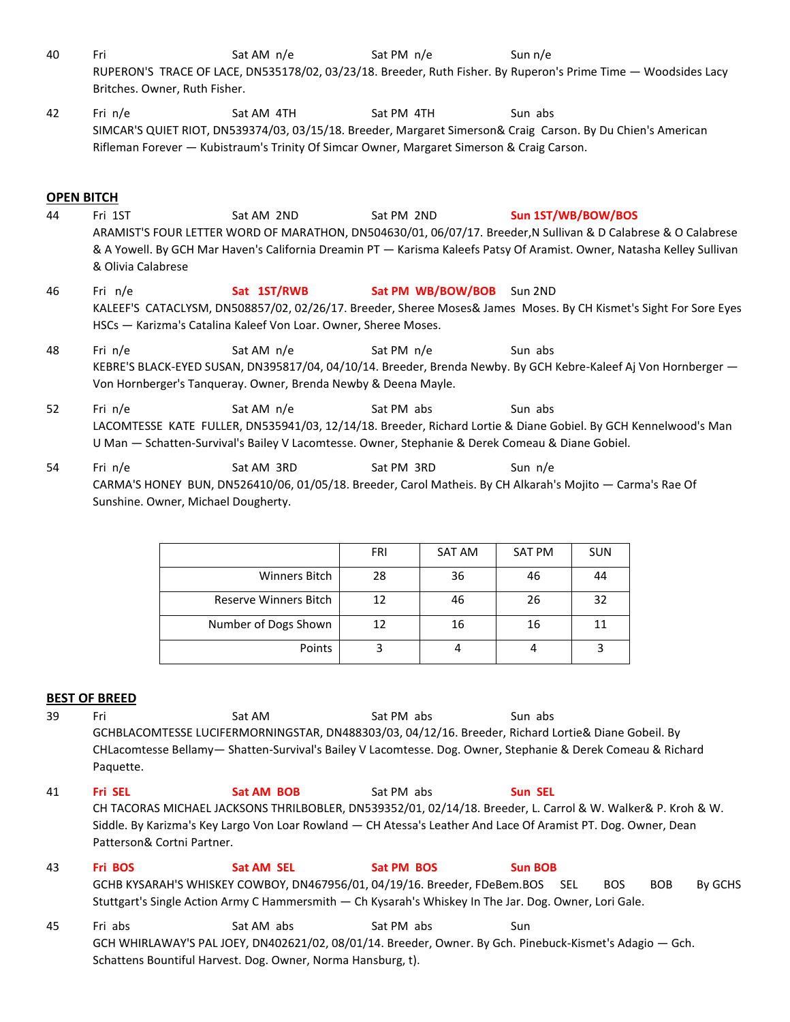- 40 Fri Sat AM n/e Sat PM n/e Sun n/e RUPERON'S TRACE OF LACE, DN535178/02, 03/23/18. Breeder, Ruth Fisher. By Ruperon's Prime Time — Woodsides Lacy Britches. Owner, Ruth Fisher.
- 42 Fri n/e Sat AM 4TH Sat PM 4TH Sun abs SIMCAR'S QUIET RIOT, DN539374/03, 03/15/18. Breeder, Margaret Simerson& Craig Carson. By Du Chien's American Rifleman Forever — Kubistraum's Trinity Of Simcar Owner, Margaret Simerson & Craig Carson.

## **OPEN BITCH**

- 44 Fri 1ST Sat AM 2ND Sat PM 2ND **Sun 1ST/WB/BOW/BOS** ARAMIST'S FOUR LETTER WORD OF MARATHON, DN504630/01, 06/07/17. Breeder,N Sullivan & D Calabrese & O Calabrese & A Yowell. By GCH Mar Haven's California Dreamin PT — Karisma Kaleefs Patsy Of Aramist. Owner, Natasha Kelley Sullivan & Olivia Calabrese
- 46 Fri n/e **Sat 1ST/RWB Sat PM WB/BOW/BOB** Sun 2ND KALEEF'S CATACLYSM, DN508857/02, 02/26/17. Breeder, Sheree Moses& James Moses. By CH Kismet's Sight For Sore Eyes HSCs — Karizma's Catalina Kaleef Von Loar. Owner, Sheree Moses.
- 48 Fri n/e Sat AM n/e Sat PM n/e Sun abs KEBRE'S BLACK-EYED SUSAN, DN395817/04, 04/10/14. Breeder, Brenda Newby. By GCH Kebre-Kaleef Aj Von Hornberger — Von Hornberger's Tanqueray. Owner, Brenda Newby & Deena Mayle.
- 52 Fri n/e Sat AM n/e Sat PM abs Sun abs LACOMTESSE KATE FULLER, DN535941/03, 12/14/18. Breeder, Richard Lortie & Diane Gobiel. By GCH Kennelwood's Man U Man — Schatten-Survival's Bailey V Lacomtesse. Owner, Stephanie & Derek Comeau & Diane Gobiel.
- 54 Fri n/e Sat AM 3RD Sat PM 3RD Sun n/e CARMA'S HONEY BUN, DN526410/06, 01/05/18. Breeder, Carol Matheis. By CH Alkarah's Mojito — Carma's Rae Of Sunshine. Owner, Michael Dougherty.

|                       | FRI | SAT AM | <b>SAT PM</b> | <b>SUN</b> |
|-----------------------|-----|--------|---------------|------------|
| Winners Bitch         | 28  | 36     | 46            | 44         |
| Reserve Winners Bitch | 12  | 46     | 26            | 32         |
| Number of Dogs Shown  | 12  | 16     | 16            | 11         |
| Points                |     |        |               |            |

## **BEST OF BREED**

- 39 Fri Sat AM Sat PM abs Sun abs GCHBLACOMTESSE LUCIFERMORNINGSTAR, DN488303/03, 04/12/16. Breeder, Richard Lortie& Diane Gobeil. By CHLacomtesse Bellamy— Shatten-Survival's Bailey V Lacomtesse. Dog. Owner, Stephanie & Derek Comeau & Richard Paquette.
- 41 **Fri SEL Sat AM BOB** Sat PM abs **Sun SEL** CH TACORAS MICHAEL JACKSONS THRILBOBLER, DN539352/01, 02/14/18. Breeder, L. Carrol & W. Walker& P. Kroh & W. Siddle. By Karizma's Key Largo Von Loar Rowland — CH Atessa's Leather And Lace Of Aramist PT. Dog. Owner, Dean Patterson& Cortni Partner.
- 43 **Fri BOS Sat AM SEL Sat PM BOS Sun BOB** GCHB KYSARAH'S WHISKEY COWBOY, DN467956/01, 04/19/16. Breeder, FDeBem.BOS SEL BOS BOB By GCHS Stuttgart's Single Action Army C Hammersmith — Ch Kysarah's Whiskey In The Jar. Dog. Owner, Lori Gale.
- 45 Fri abs Sat AM abs Sat PM abs Sun GCH WHIRLAWAY'S PAL JOEY, DN402621/02, 08/01/14. Breeder, Owner. By Gch. Pinebuck-Kismet's Adagio — Gch. Schattens Bountiful Harvest. Dog. Owner, Norma Hansburg, t).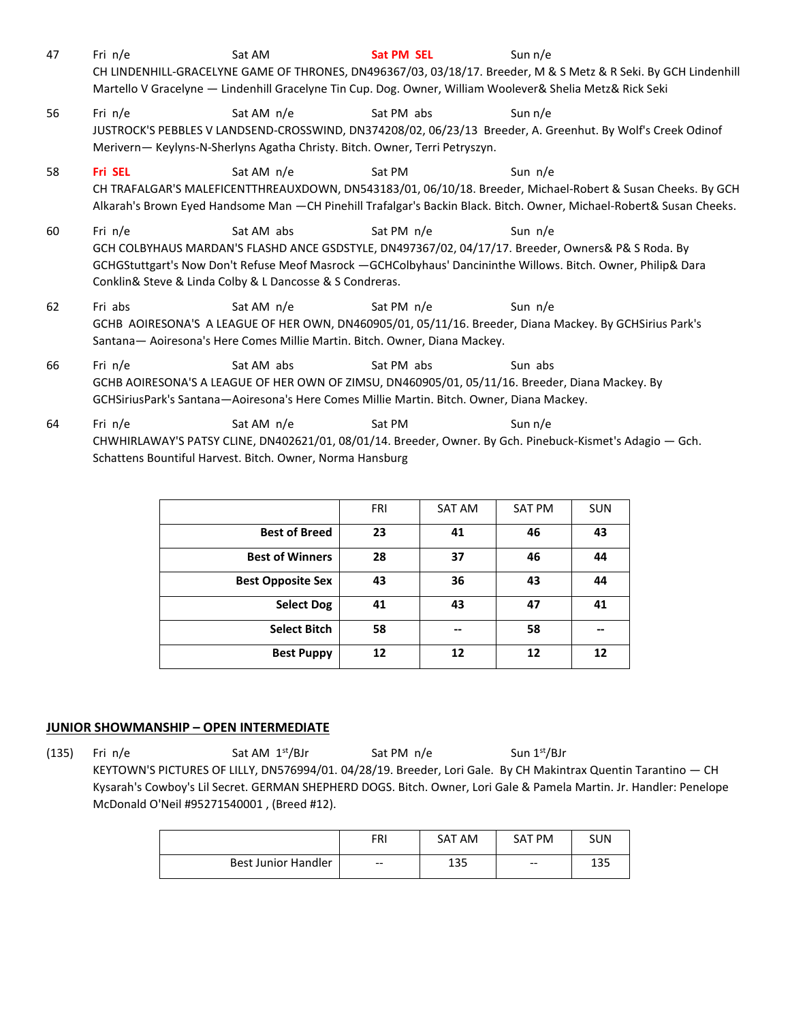- 47 Fri n/e Sat AM **Sat PM SEL** Sun n/e CH LINDENHILL-GRACELYNE GAME OF THRONES, DN496367/03, 03/18/17. Breeder, M & S Metz & R Seki. By GCH Lindenhill Martello V Gracelyne — Lindenhill Gracelyne Tin Cup. Dog. Owner, William Woolever& Shelia Metz& Rick Seki
- 56 Fri n/e Sat AM n/e Sat PM abs Sun n/e JUSTROCK'S PEBBLES V LANDSEND-CROSSWIND, DN374208/02, 06/23/13 Breeder, A. Greenhut. By Wolf's Creek Odinof Merivern— Keylyns-N-Sherlyns Agatha Christy. Bitch. Owner, Terri Petryszyn.
- 58 **Fri SEL** Sat AM n/e Sat PM Sun n/e CH TRAFALGAR'S MALEFICENTTHREAUXDOWN, DN543183/01, 06/10/18. Breeder, Michael-Robert & Susan Cheeks. By GCH Alkarah's Brown Eyed Handsome Man —CH Pinehill Trafalgar's Backin Black. Bitch. Owner, Michael-Robert& Susan Cheeks.
- 60 Fri n/e Sat AM abs Sat PM n/e Sun n/e GCH COLBYHAUS MARDAN'S FLASHD ANCE GSDSTYLE, DN497367/02, 04/17/17. Breeder, Owners& P& S Roda. By GCHGStuttgart's Now Don't Refuse Meof Masrock —GCHColbyhaus' Dancininthe Willows. Bitch. Owner, Philip& Dara Conklin& Steve & Linda Colby & L Dancosse & S Condreras.
- 62 Fri abs Sat AM n/e Sat PM n/e Sun n/e GCHB AOIRESONA'S A LEAGUE OF HER OWN, DN460905/01, 05/11/16. Breeder, Diana Mackey. By GCHSirius Park's Santana— Aoiresona's Here Comes Millie Martin. Bitch. Owner, Diana Mackey.
- 66 Fri n/e Sat AM abs Sat PM abs Sun abs GCHB AOIRESONA'S A LEAGUE OF HER OWN OF ZIMSU, DN460905/01, 05/11/16. Breeder, Diana Mackey. By GCHSiriusPark's Santana—Aoiresona's Here Comes Millie Martin. Bitch. Owner, Diana Mackey.
- 64 Fri n/e Sat AM n/e Sat PM Sun n/e CHWHIRLAWAY'S PATSY CLINE, DN402621/01, 08/01/14. Breeder, Owner. By Gch. Pinebuck-Kismet's Adagio — Gch. Schattens Bountiful Harvest. Bitch. Owner, Norma Hansburg

|                          | <b>FRI</b> | SAT AM | <b>SAT PM</b> | <b>SUN</b> |
|--------------------------|------------|--------|---------------|------------|
| <b>Best of Breed</b>     | 23         | 41     | 46            | 43         |
| <b>Best of Winners</b>   | 28         | 37     | 46            | 44         |
| <b>Best Opposite Sex</b> | 43         | 36     | 43            | 44         |
| <b>Select Dog</b>        | 41         | 43     | 47            | 41         |
| <b>Select Bitch</b>      | 58         | --     | 58            | --         |
| <b>Best Puppy</b>        | 12         | 12     | 12            | 12         |

## **JUNIOR SHOWMANSHIP – OPEN INTERMEDIATE**

(135) Fri n/e Sat AM 1<sup>st</sup>/BJr Sat PM n/e Sun 1<sup>st</sup>/BJr KEYTOWN'S PICTURES OF LILLY, DN576994/01. 04/28/19. Breeder, Lori Gale. By CH Makintrax Quentin Tarantino — CH Kysarah's Cowboy's Lil Secret. GERMAN SHEPHERD DOGS. Bitch. Owner, Lori Gale & Pamela Martin. Jr. Handler: Penelope McDonald O'Neil #95271540001 , (Breed #12).

|                            | <b>FRI</b>               | SAT AM     | SAT PM                   | SUN        |
|----------------------------|--------------------------|------------|--------------------------|------------|
| <b>Best Junior Handler</b> | $\hspace{0.05cm} \ldots$ | 12E<br>⊥ວວ | $\hspace{0.05cm} \ldots$ | 1つ口<br>⊥ఎఎ |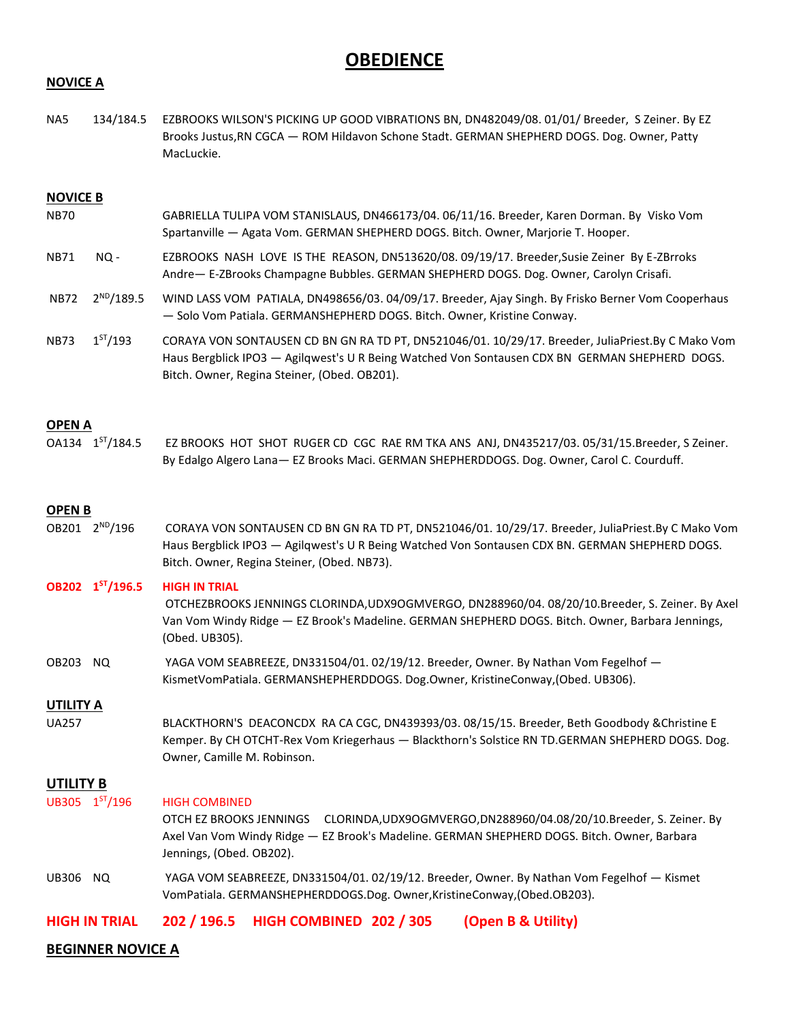# **OBEDIENCE**

#### **NOVICE A**

NA5 134/184.5 EZBROOKS WILSON'S PICKING UP GOOD VIBRATIONS BN, DN482049/08. 01/01/ Breeder, S Zeiner. By EZ Brooks Justus,RN CGCA — ROM Hildavon Schone Stadt. GERMAN SHEPHERD DOGS. Dog. Owner, Patty MacLuckie.

#### **NOVICE B**

- NB70 GABRIELLA TULIPA VOM STANISLAUS, DN466173/04. 06/11/16. Breeder, Karen Dorman. By Visko Vom Spartanville — Agata Vom. GERMAN SHEPHERD DOGS. Bitch. Owner, Marjorie T. Hooper.
- NB71 NQ EZBROOKS NASH LOVE IS THE REASON, DN513620/08. 09/19/17. Breeder,Susie Zeiner By E-ZBrroks Andre— E-ZBrooks Champagne Bubbles. GERMAN SHEPHERD DOGS. Dog. Owner, Carolyn Crisafi.
- NB72 2<sup>ND</sup>/189.5 WIND LASS VOM PATIALA, DN498656/03. 04/09/17. Breeder, Ajay Singh. By Frisko Berner Vom Cooperhaus — Solo Vom Patiala. GERMANSHEPHERD DOGS. Bitch. Owner, Kristine Conway.
- NB73 1<sup>ST</sup>/193 CORAYA VON SONTAUSEN CD BN GN RA TD PT, DN521046/01. 10/29/17. Breeder, JuliaPriest.By C Mako Vom Haus Bergblick IPO3 — Agilqwest's U R Being Watched Von Sontausen CDX BN GERMAN SHEPHERD DOGS. Bitch. Owner, Regina Steiner, (Obed. OB201).

#### **OPEN A**

OA134 1ST/184.5 EZ BROOKS HOT SHOT RUGER CD CGC RAE RM TKA ANS ANJ, DN435217/03. 05/31/15.Breeder, S Zeiner. By Edalgo Algero Lana— EZ Brooks Maci. GERMAN SHEPHERDDOGS. Dog. Owner, Carol C. Courduff.

#### **OPEN B**

OB201 2<sup>ND</sup>/196 CORAYA VON SONTAUSEN CD BN GN RA TD PT, DN521046/01. 10/29/17. Breeder, JuliaPriest.By C Mako Vom Haus Bergblick IPO3 — Agilqwest's U R Being Watched Von Sontausen CDX BN. GERMAN SHEPHERD DOGS. Bitch. Owner, Regina Steiner, (Obed. NB73).

#### **OB202 1 HIGH IN TRIAL**

- OTCHEZBROOKS JENNINGS CLORINDA,UDX9OGMVERGO, DN288960/04. 08/20/10.Breeder, S. Zeiner. By Axel Van Vom Windy Ridge — EZ Brook's Madeline. GERMAN SHEPHERD DOGS. Bitch. Owner, Barbara Jennings, (Obed. UB305).
- OB203 NQ YAGA VOM SEABREEZE, DN331504/01. 02/19/12. Breeder, Owner. By Nathan Vom Fegelhof KismetVomPatiala. GERMANSHEPHERDDOGS. Dog.Owner, KristineConway,(Obed. UB306).

#### **UTILITY A**

UA257 BLACKTHORN'S DEACONCDX RA CA CGC, DN439393/03. 08/15/15. Breeder, Beth Goodbody &Christine E Kemper. By CH OTCHT-Rex Vom Kriegerhaus — Blackthorn's Solstice RN TD.GERMAN SHEPHERD DOGS. Dog. Owner, Camille M. Robinson.

#### **UTILITY B**

UB305 1ST/196 **HIGH COMBINED** 

> OTCH EZ BROOKS JENNINGS CLORINDA,UDX9OGMVERGO,DN288960/04.08/20/10.Breeder, S. Zeiner. By Axel Van Vom Windy Ridge — EZ Brook's Madeline. GERMAN SHEPHERD DOGS. Bitch. Owner, Barbara Jennings, (Obed. OB202).

UB306 NQ YAGA VOM SEABREEZE, DN331504/01. 02/19/12. Breeder, Owner. By Nathan Vom Fegelhof — Kismet VomPatiala. GERMANSHEPHERDDOGS.Dog. Owner,KristineConway,(Obed.OB203).

**HIGH IN TRIAL 202 / 196.5 HIGH COMBINED 202 / 305 (Open B & Utility)**

#### **BEGINNER NOVICE A**